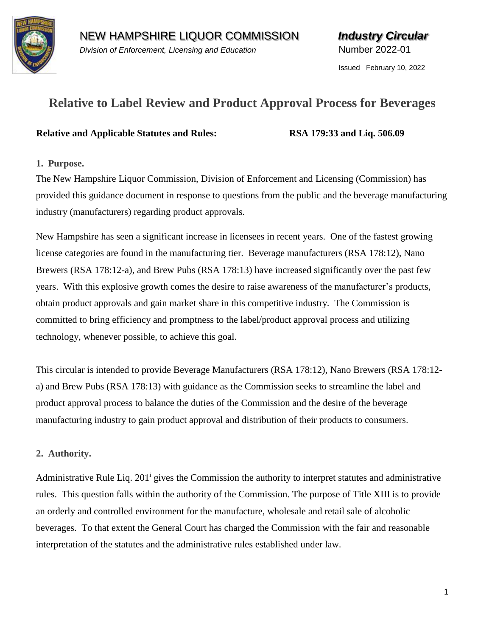

NEW HAMPSHIRE LIQUOR COMMISSION*Industry Circular* **Division of Enforcement, Licensing and Education** Number 2022-01

Issued February 10, 2022

# **Relative to Label Review and Product Approval Process for Beverages**

### **Relative and Applicable Statutes and Rules: RSA 179:33 and Liq. 506.09**

# **1. Purpose.**

The New Hampshire Liquor Commission, Division of Enforcement and Licensing (Commission) has provided this guidance document in response to questions from the public and the beverage manufacturing industry (manufacturers) regarding product approvals.

New Hampshire has seen a significant increase in licensees in recent years. One of the fastest growing license categories are found in the manufacturing tier. Beverage manufacturers (RSA 178:12), Nano Brewers (RSA 178:12-a), and Brew Pubs (RSA 178:13) have increased significantly over the past few years. With this explosive growth comes the desire to raise awareness of the manufacturer's products, obtain product approvals and gain market share in this competitive industry. The Commission is committed to bring efficiency and promptness to the label/product approval process and utilizing technology, whenever possible, to achieve this goal.

This circular is intended to provide Beverage Manufacturers (RSA 178:12), Nano Brewers (RSA 178:12 a) and Brew Pubs (RSA 178:13) with guidance as the Commission seeks to streamline the label and product approval process to balance the duties of the Commission and the desire of the beverage manufacturing industry to gain product approval and distribution of their products to consumers.

# **2. Authority.**

Administrative Rule Liq. 201<sup>i</sup> gives the Commission the authority to interpret statutes and administrative rules. This question falls within the authority of the Commission. The purpose of Title XIII is to provide an orderly and controlled environment for the manufacture, wholesale and retail sale of alcoholic beverages. To that extent the General Court has charged the Commission with the fair and reasonable interpretation of the statutes and the administrative rules established under law.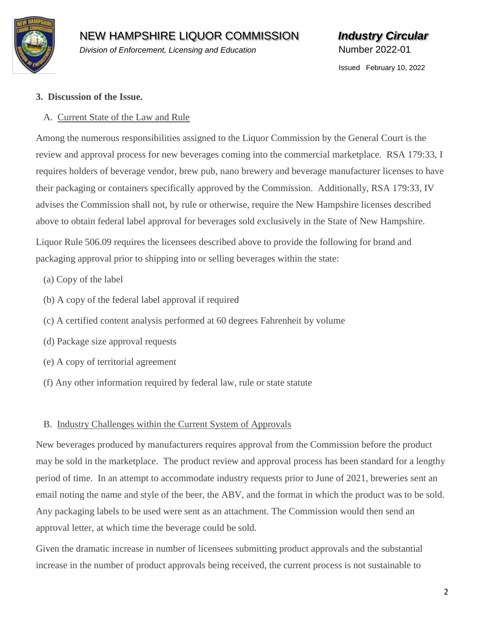

# NEW HAMPSHIRE LIQUOR COMMISSION*Industry Circular*

**Division of Enforcement, Licensing and Education** Mumber 2022-01

Issued February 10, 2022

#### **3. Discussion of the Issue.**

# A. Current State of the Law and Rule

Among the numerous responsibilities assigned to the Liquor Commission by the General Court is the review and approval process for new beverages coming into the commercial marketplace. RSA 179:33, I requires holders of beverage vendor, brew pub, nano brewery and beverage manufacturer licenses to have their packaging or containers specifically approved by the Commission. Additionally, RSA 179:33, IV advises the Commission shall not, by rule or otherwise, require the New Hampshire licenses described above to obtain federal label approval for beverages sold exclusively in the State of New Hampshire.

Liquor Rule 506.09 requires the licensees described above to provide the following for brand and packaging approval prior to shipping into or selling beverages within the state:

- (a) Copy of the label
- (b) A copy of the federal label approval if required
- (c) A certified content analysis performed at 60 degrees Fahrenheit by volume
- (d) Package size approval requests
- (e) A copy of territorial agreement
- (f) Any other information required by federal law, rule or state statute

#### B. Industry Challenges within the Current System of Approvals

New beverages produced by manufacturers requires approval from the Commission before the product may be sold in the marketplace. The product review and approval process has been standard for a lengthy period of time. In an attempt to accommodate industry requests prior to June of 2021, breweries sent an email noting the name and style of the beer, the ABV, and the format in which the product was to be sold. Any packaging labels to be used were sent as an attachment. The Commission would then send an approval letter, at which time the beverage could be sold.

Given the dramatic increase in number of licensees submitting product approvals and the substantial increase in the number of product approvals being received, the current process is not sustainable to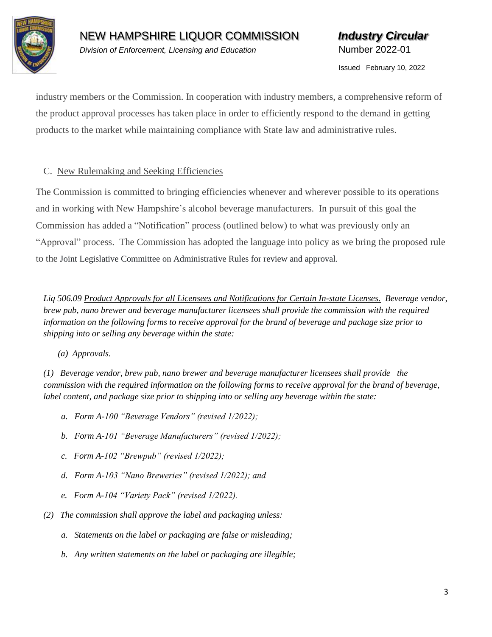

NEW HAMPSHIRE LIQUOR COMMISSION*Industry Circular*

**Division of Enforcement, Licensing and Education** Mumber 2022-01

Issued February 10, 2022

industry members or the Commission. In cooperation with industry members, a comprehensive reform of the product approval processes has taken place in order to efficiently respond to the demand in getting products to the market while maintaining compliance with State law and administrative rules.

# C. New Rulemaking and Seeking Efficiencies

The Commission is committed to bringing efficiencies whenever and wherever possible to its operations and in working with New Hampshire's alcohol beverage manufacturers. In pursuit of this goal the Commission has added a "Notification" process (outlined below) to what was previously only an "Approval" process. The Commission has adopted the language into policy as we bring the proposed rule to the Joint Legislative Committee on Administrative Rules for review and approval.

*Liq 506.09 Product Approvals for all Licensees and Notifications for Certain In-state Licenses. Beverage vendor, brew pub, nano brewer and beverage manufacturer licensees shall provide the commission with the required information on the following forms to receive approval for the brand of beverage and package size prior to shipping into or selling any beverage within the state:* 

*(a) Approvals.*

*(1) Beverage vendor, brew pub, nano brewer and beverage manufacturer licensees shall provide the commission with the required information on the following forms to receive approval for the brand of beverage, label content, and package size prior to shipping into or selling any beverage within the state:*

- *a. Form A-100 "Beverage Vendors" (revised 1/2022);*
- *b. Form A-101 "Beverage Manufacturers" (revised 1/2022);*
- *c. Form A-102 "Brewpub" (revised 1/2022);*
- *d. Form A-103 "Nano Breweries" (revised 1/2022); and*
- *e. Form A-104 "Variety Pack" (revised 1/2022).*
- *(2) The commission shall approve the label and packaging unless:*
	- *a. Statements on the label or packaging are false or misleading;*
	- *b. Any written statements on the label or packaging are illegible;*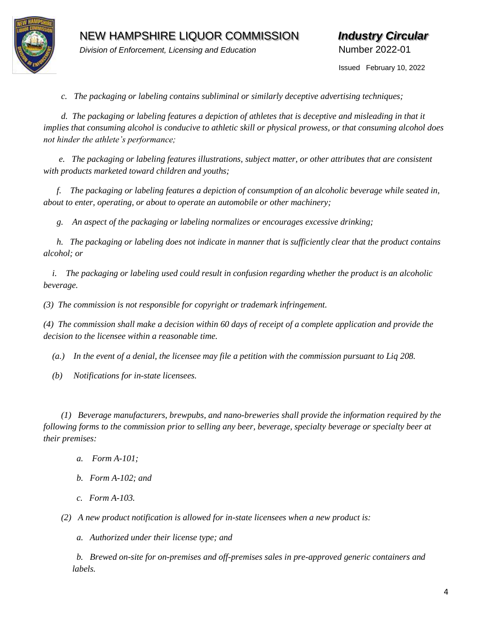

NEW HAMPSHIRE LIQUOR COMMISSION*Industry Circular*

*Division of Enforcement, Licensing and Education* Number 2022-01

Issued February 10, 2022

 *c. The packaging or labeling contains subliminal or similarly deceptive advertising techniques;*

 *d. The packaging or labeling features a depiction of athletes that is deceptive and misleading in that it implies that consuming alcohol is conducive to athletic skill or physical prowess, or that consuming alcohol does not hinder the athlete's performance;*

 *e. The packaging or labeling features illustrations, subject matter, or other attributes that are consistent with products marketed toward children and youths;*

 *f. The packaging or labeling features a depiction of consumption of an alcoholic beverage while seated in, about to enter, operating, or about to operate an automobile or other machinery;* 

 *g. An aspect of the packaging or labeling normalizes or encourages excessive drinking;* 

 *h. The packaging or labeling does not indicate in manner that is sufficiently clear that the product contains alcohol; or* 

 *i. The packaging or labeling used could result in confusion regarding whether the product is an alcoholic beverage.*

*(3) The commission is not responsible for copyright or trademark infringement.*

*(4) The commission shall make a decision within 60 days of receipt of a complete application and provide the decision to the licensee within a reasonable time.*

 *(a.) In the event of a denial, the licensee may file a petition with the commission pursuant to Liq 208.*

 *(b) Notifications for in-state licensees.*

 *(1) Beverage manufacturers, brewpubs, and nano-breweries shall provide the information required by the following forms to the commission prior to selling any beer, beverage, specialty beverage or specialty beer at their premises:*

- *a. Form A-101;*
- *b. Form A-102; and*
- *c. Form A-103.*

 *(2) A new product notification is allowed for in-state licensees when a new product is:*

 *a. Authorized under their license type; and*

*b. Brewed on-site for on-premises and off-premises sales in pre-approved generic containers and labels.*